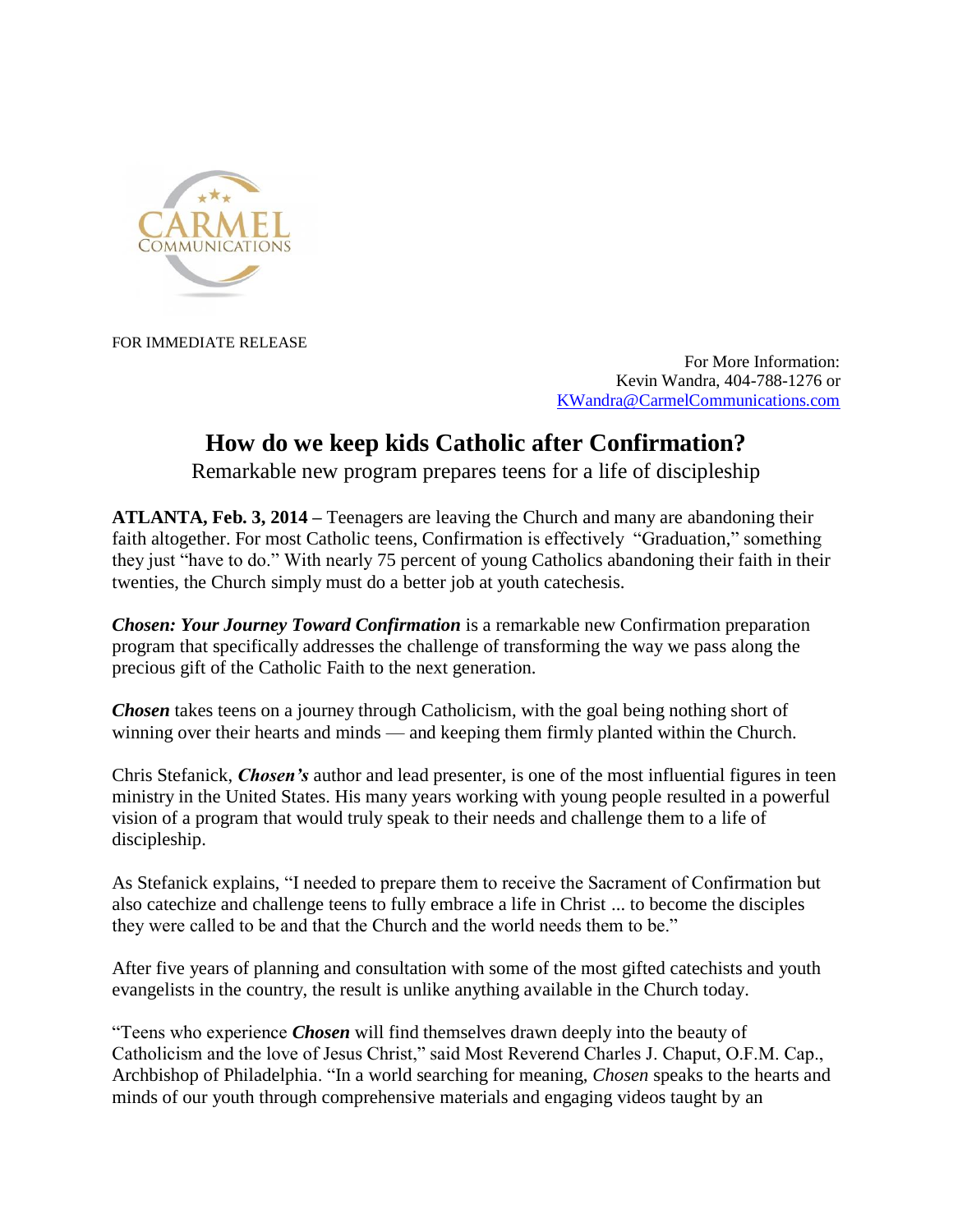

FOR IMMEDIATE RELEASE

For More Information: Kevin Wandra, 404-788-1276 or [KWandra@CarmelCommunications.com](mailto:KWandra@CarmelCommunications.com)

## **How do we keep kids Catholic after Confirmation?**

Remarkable new program prepares teens for a life of discipleship

**ATLANTA, Feb. 3, 2014 –** Teenagers are leaving the Church and many are abandoning their faith altogether. For most Catholic teens, Confirmation is effectively "Graduation," something they just "have to do." With nearly 75 percent of young Catholics abandoning their faith in their twenties, the Church simply must do a better job at youth catechesis.

*Chosen: Your Journey Toward Confirmation* is a remarkable new Confirmation preparation program that specifically addresses the challenge of transforming the way we pass along the precious gift of the Catholic Faith to the next generation.

*Chosen* takes teens on a journey through Catholicism, with the goal being nothing short of winning over their hearts and minds — and keeping them firmly planted within the Church.

Chris Stefanick, *Chosen's* author and lead presenter, is one of the most influential figures in teen ministry in the United States. His many years working with young people resulted in a powerful vision of a program that would truly speak to their needs and challenge them to a life of discipleship.

As Stefanick explains, "I needed to prepare them to receive the Sacrament of Confirmation but also catechize and challenge teens to fully embrace a life in Christ ... to become the disciples they were called to be and that the Church and the world needs them to be."

After five years of planning and consultation with some of the most gifted catechists and youth evangelists in the country, the result is unlike anything available in the Church today.

"Teens who experience *Chosen* will find themselves drawn deeply into the beauty of Catholicism and the love of Jesus Christ," said Most Reverend Charles J. Chaput, O.F.M. Cap., Archbishop of Philadelphia. "In a world searching for meaning, *Chosen* speaks to the hearts and minds of our youth through comprehensive materials and engaging videos taught by an